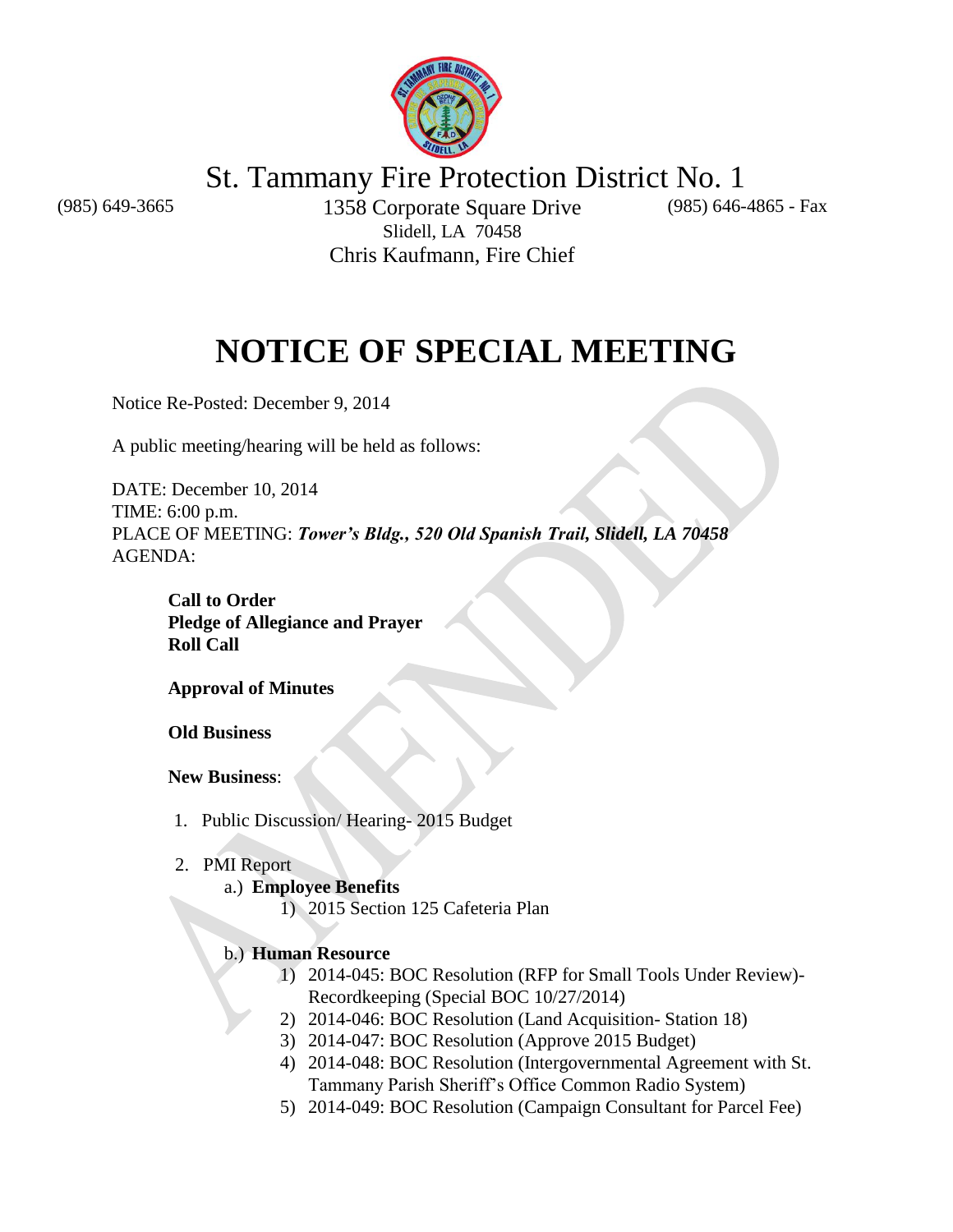

St. Tammany Fire Protection District No. 1

(985) 646-4865 - Fax

(985) 649-3665 1358 Corporate Square Drive Slidell, LA 70458 Chris Kaufmann, Fire Chief

# **NOTICE OF SPECIAL MEETING**

Notice Re-Posted: December 9, 2014

A public meeting/hearing will be held as follows:

DATE: December 10, 2014 TIME: 6:00 p.m. PLACE OF MEETING: *Tower's Bldg., 520 Old Spanish Trail, Slidell, LA 70458* AGENDA:

**Call to Order Pledge of Allegiance and Prayer Roll Call**

**Approval of Minutes**

**Old Business**

**New Business**:

- 1. Public Discussion/ Hearing- 2015 Budget
- 2. PMI Report

# a.) **Employee Benefits**

1) 2015 Section 125 Cafeteria Plan

# b.) **Human Resource**

- 1) 2014-045: BOC Resolution (RFP for Small Tools Under Review)- Recordkeeping (Special BOC 10/27/2014)
- 2) 2014-046: BOC Resolution (Land Acquisition- Station 18)
- 3) 2014-047: BOC Resolution (Approve 2015 Budget)
- 4) 2014-048: BOC Resolution (Intergovernmental Agreement with St. Tammany Parish Sheriff's Office Common Radio System)
- 5) 2014-049: BOC Resolution (Campaign Consultant for Parcel Fee)